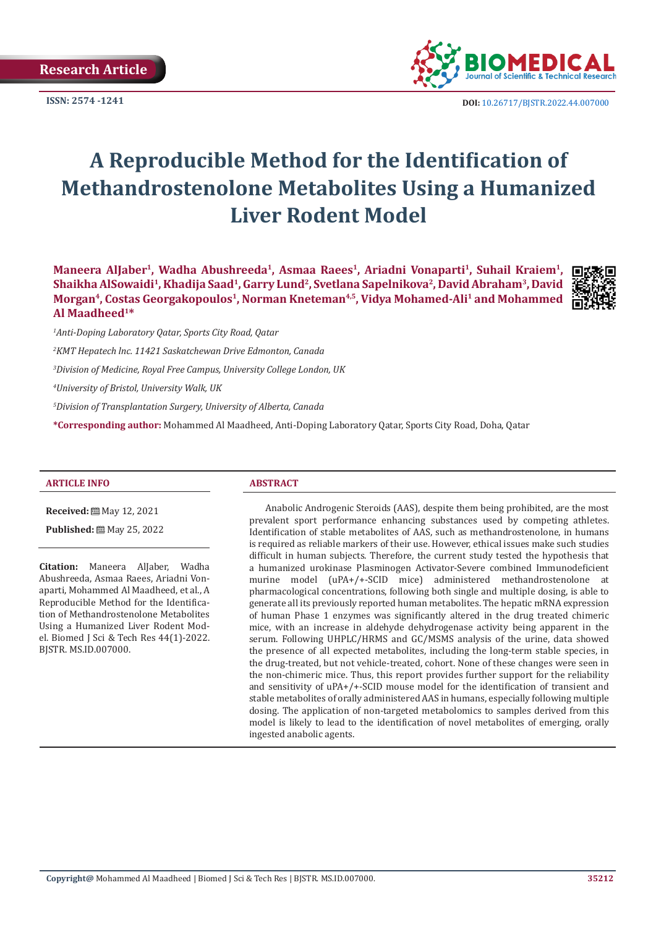**Research Article**



**ISSN: 2574 -1241 DOI:** [10.26717/BJSTR.2022.44.007000](https://dx.doi.org/10.26717/BJSTR.2022.44.007000)

# **A Reproducible Method for the Identification of Methandrostenolone Metabolites Using a Humanized Liver Rodent Model**

Maneera AlJaber<sup>1</sup>, Wadha Abushreeda<sup>1</sup>, Asmaa Raees<sup>1</sup>, Ariadni Vonaparti<sup>1</sup>, Suhail Kraiem<sup>1</sup>, Shaikha AlSowaidi<sup>1</sup>, Khadija Saad<sup>1</sup>, Garry Lund<sup>2</sup>, Svetlana Sapelnikova<sup>2</sup>, David Abraham<sup>3</sup>, David Morgan<sup>4</sup>, Costas Georgakopoulos<sup>1</sup>, Norman Kneteman<sup>4,5</sup>, Vidya Mohamed-Ali<sup>1</sup> and Mohammed **Al Maadheed1\***



*1 Anti-Doping Laboratory Qatar, Sports City Road, Qatar*

*2 KMT Hepatech lnc. 11421 Saskatchewan Drive Edmonton, Canada* 

*3 Division of Medicine, Royal Free Campus, University College London, UK*

*4 University of Bristol, University Walk, UK*

*5 Division of Transplantation Surgery, University of Alberta, Canada*

**\*Corresponding author:** Mohammed Al Maadheed, Anti-Doping Laboratory Qatar, Sports City Road, Doha, Qatar

#### **ARTICLE INFO ABSTRACT**

**Received:** ■ May 12, 2021

Published: [9] May 25, 2022

**Citation:** Maneera AlJaber, Wadha Abushreeda, Asmaa Raees, Ariadni Vonaparti, Mohammed Al Maadheed, et al., A Reproducible Method for the Identification of Methandrostenolone Metabolites Using a Humanized Liver Rodent Model. Biomed J Sci & Tech Res 44(1)-2022. BJSTR. MS.ID.007000.

Anabolic Androgenic Steroids (AAS), despite them being prohibited, are the most prevalent sport performance enhancing substances used by competing athletes. Identification of stable metabolites of AAS, such as methandrostenolone, in humans is required as reliable markers of their use. However, ethical issues make such studies difficult in human subjects. Therefore, the current study tested the hypothesis that a humanized urokinase Plasminogen Activator-Severe combined Immunodeficient murine model (uPA+/+-SCID mice) administered methandrostenolone at pharmacological concentrations, following both single and multiple dosing, is able to generate all its previously reported human metabolites. The hepatic mRNA expression of human Phase 1 enzymes was significantly altered in the drug treated chimeric mice, with an increase in aldehyde dehydrogenase activity being apparent in the serum. Following UHPLC/HRMS and GC/MSMS analysis of the urine, data showed the presence of all expected metabolites, including the long-term stable species, in the drug-treated, but not vehicle-treated, cohort. None of these changes were seen in the non-chimeric mice. Thus, this report provides further support for the reliability and sensitivity of uPA+/+-SCID mouse model for the identification of transient and stable metabolites of orally administered AAS in humans, especially following multiple dosing. The application of non-targeted metabolomics to samples derived from this model is likely to lead to the identification of novel metabolites of emerging, orally ingested anabolic agents.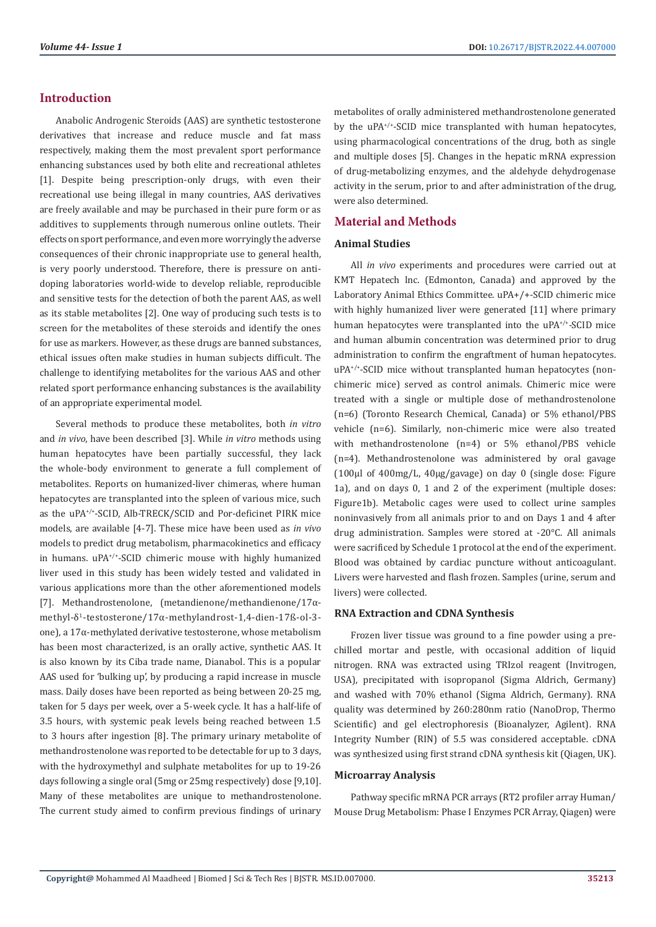# **Introduction**

Anabolic Androgenic Steroids (AAS) are synthetic testosterone derivatives that increase and reduce muscle and fat mass respectively, making them the most prevalent sport performance enhancing substances used by both elite and recreational athletes [1]. Despite being prescription-only drugs, with even their recreational use being illegal in many countries, AAS derivatives are freely available and may be purchased in their pure form or as additives to supplements through numerous online outlets. Their effects on sport performance, and even more worryingly the adverse consequences of their chronic inappropriate use to general health, is very poorly understood. Therefore, there is pressure on antidoping laboratories world-wide to develop reliable, reproducible and sensitive tests for the detection of both the parent AAS, as well as its stable metabolites [2]. One way of producing such tests is to screen for the metabolites of these steroids and identify the ones for use as markers. However, as these drugs are banned substances, ethical issues often make studies in human subjects difficult. The challenge to identifying metabolites for the various AAS and other related sport performance enhancing substances is the availability of an appropriate experimental model.

Several methods to produce these metabolites, both *in vitro* and *in vivo*, have been described [3]. While *in vitro* methods using human hepatocytes have been partially successful, they lack the whole-body environment to generate a full complement of metabolites. Reports on humanized-liver chimeras, where human hepatocytes are transplanted into the spleen of various mice, such as the uPA+/+-SCID, Alb-TRECK/SCID and Por-deficinet PIRK mice models, are available [4-7]. These mice have been used as *in vivo* models to predict drug metabolism, pharmacokinetics and efficacy in humans. uPA+/+-SCID chimeric mouse with highly humanized liver used in this study has been widely tested and validated in various applications more than the other aforementioned models [7]. Methandrostenolone, (metandienone/methandienone/17αmethyl-δ1-testosterone/17α-methylandrost-1,4-dien-17ß-ol-3 one), a 17α-methylated derivative testosterone, whose metabolism has been most characterized, is an orally active, synthetic AAS. It is also known by its Ciba trade name, Dianabol. This is a popular AAS used for 'bulking up', by producing a rapid increase in muscle mass. Daily doses have been reported as being between 20-25 mg, taken for 5 days per week, over a 5-week cycle. It has a half-life of 3.5 hours, with systemic peak levels being reached between 1.5 to 3 hours after ingestion [8]. The primary urinary metabolite of methandrostenolone was reported to be detectable for up to 3 days, with the hydroxymethyl and sulphate metabolites for up to 19-26 days following a single oral (5mg or 25mg respectively) dose [9,10]. Many of these metabolites are unique to methandrostenolone. The current study aimed to confirm previous findings of urinary

metabolites of orally administered methandrostenolone generated by the uPA+/+-SCID mice transplanted with human hepatocytes, using pharmacological concentrations of the drug, both as single and multiple doses [5]. Changes in the hepatic mRNA expression of drug-metabolizing enzymes, and the aldehyde dehydrogenase activity in the serum, prior to and after administration of the drug, were also determined.

# **Material and Methods**

#### **Animal Studies**

All *in vivo* experiments and procedures were carried out at KMT Hepatech lnc. (Edmonton, Canada) and approved by the Laboratory Animal Ethics Committee. uPA+/+-SCID chimeric mice with highly humanized liver were generated [11] where primary human hepatocytes were transplanted into the uPA+/+-SCID mice and human albumin concentration was determined prior to drug administration to confirm the engraftment of human hepatocytes. uPA+/+-SCID mice without transplanted human hepatocytes (nonchimeric mice) served as control animals. Chimeric mice were treated with a single or multiple dose of methandrostenolone (n=6) (Toronto Research Chemical, Canada) or 5% ethanol/PBS vehicle (n=6). Similarly, non-chimeric mice were also treated with methandrostenolone (n=4) or 5% ethanol/PBS vehicle (n=4). Methandrostenolone was administered by oral gavage (100µl of 400mg/L, 40µg/gavage) on day 0 (single dose: Figure 1a), and on days 0, 1 and 2 of the experiment (multiple doses: Figure1b). Metabolic cages were used to collect urine samples noninvasively from all animals prior to and on Days 1 and 4 after drug administration. Samples were stored at -20°C. All animals were sacrificed by Schedule 1 protocol at the end of the experiment. Blood was obtained by cardiac puncture without anticoagulant. Livers were harvested and flash frozen. Samples (urine, serum and livers) were collected.

### **RNA Extraction and CDNA Synthesis**

Frozen liver tissue was ground to a fine powder using a prechilled mortar and pestle, with occasional addition of liquid nitrogen. RNA was extracted using TRIzol reagent (Invitrogen, USA), precipitated with isopropanol (Sigma Aldrich, Germany) and washed with 70% ethanol (Sigma Aldrich, Germany). RNA quality was determined by 260:280nm ratio (NanoDrop, Thermo Scientific) and gel electrophoresis (Bioanalyzer, Agilent). RNA Integrity Number (RIN) of 5.5 was considered acceptable. cDNA was synthesized using first strand cDNA synthesis kit (Qiagen, UK).

## **Microarray Analysis**

Pathway specific mRNA PCR arrays (RT2 profiler array Human/ Mouse Drug Metabolism: Phase I Enzymes PCR Array, Qiagen) were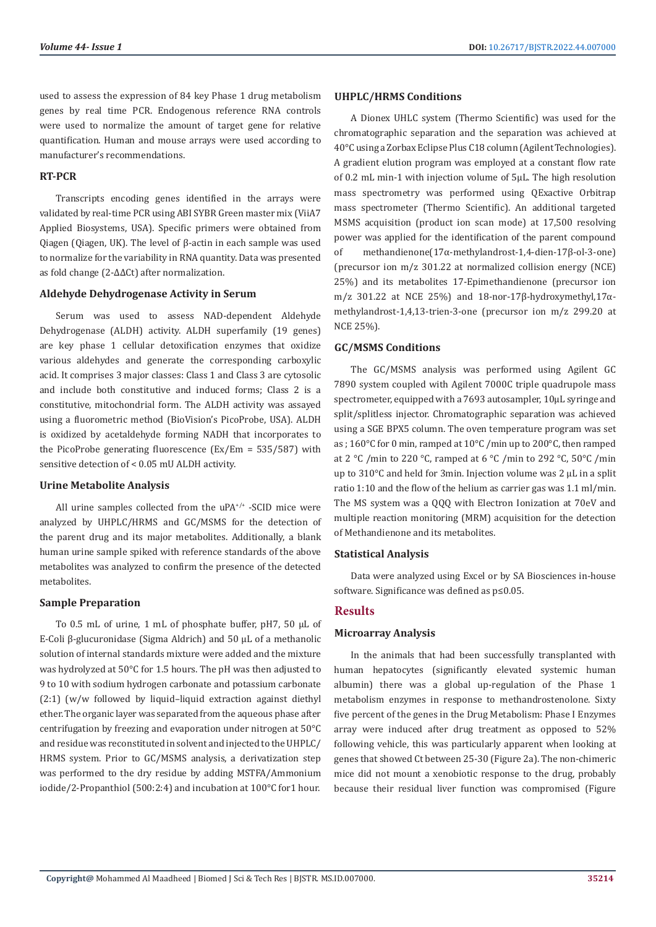used to assess the expression of 84 key Phase 1 drug metabolism genes by real time PCR. Endogenous reference RNA controls were used to normalize the amount of target gene for relative quantification. Human and mouse arrays were used according to manufacturer's recommendations.

#### **RT-PCR**

Transcripts encoding genes identified in the arrays were validated by real-time PCR using ABI SYBR Green master mix (ViiA7 Applied Biosystems, USA). Specific primers were obtained from Qiagen (Qiagen, UK). The level of β-actin in each sample was used to normalize for the variability in RNA quantity. Data was presented as fold change (2-ΔΔCt) after normalization.

#### **Aldehyde Dehydrogenase Activity in Serum**

Serum was used to assess NAD-dependent Aldehyde Dehydrogenase (ALDH) activity. ALDH superfamily (19 genes) are key phase 1 cellular detoxification enzymes that oxidize various aldehydes and generate the corresponding carboxylic acid. It comprises 3 major classes: Class 1 and Class 3 are cytosolic and include both constitutive and induced forms; Class 2 is a constitutive, mitochondrial form. The ALDH activity was assayed using a fluorometric method (BioVision's PicoProbe, USA). ALDH is oxidized by acetaldehyde forming NADH that incorporates to the PicoProbe generating fluorescence (Ex/Em = 535/587) with sensitive detection of < 0.05 mU ALDH activity.

#### **Urine Metabolite Analysis**

All urine samples collected from the uPA+/+ -SCID mice were analyzed by UHPLC/HRMS and GC/MSMS for the detection of the parent drug and its major metabolites. Additionally, a blank human urine sample spiked with reference standards of the above metabolites was analyzed to confirm the presence of the detected metabolites.

#### **Sample Preparation**

To 0.5 mL of urine, 1 mL of phosphate buffer, pH7, 50 µL of E-Coli β-glucuronidase (Sigma Aldrich) and 50 µL of a methanolic solution of internal standards mixture were added and the mixture was hydrolyzed at 50°C for 1.5 hours. The pH was then adjusted to 9 to 10 with sodium hydrogen carbonate and potassium carbonate (2:1) (w/w followed by liquid–liquid extraction against diethyl ether. The organic layer was separated from the aqueous phase after centrifugation by freezing and evaporation under nitrogen at 50°C and residue was reconstituted in solvent and injected to the UHPLC/ HRMS system. Prior to GC/MSMS analysis, a derivatization step was performed to the dry residue by adding MSTFA/Ammonium iodide/2-Propanthiol (500:2:4) and incubation at 100°C for1 hour.

#### **UHPLC/HRMS Conditions**

A Dionex UHLC system (Thermo Scientific) was used for the chromatographic separation and the separation was achieved at 40°C using a Zorbax Eclipse Plus C18 column (Agilent Technologies). A gradient elution program was employed at a constant flow rate of 0.2 mL min-1 with injection volume of 5µL. The high resolution mass spectrometry was performed using QExactive Orbitrap mass spectrometer (Thermo Scientific). An additional targeted MSMS acquisition (product ion scan mode) at 17,500 resolving power was applied for the identification of the parent compound of methandienone(17α-methylandrost-1,4-dien-17β-ol-3-one) (precursor ion m/z 301.22 at normalized collision energy (NCE) 25%) and its metabolites 17-Epimethandienone (precursor ion m/z 301.22 at NCE 25%) and 18-nor-17β-hydroxymethyl,17αmethylandrost-1,4,13-trien-3-one (precursor ion m/z 299.20 at NCE 25%).

#### **GC/MSMS Conditions**

The GC/MSMS analysis was performed using Agilent GC 7890 system coupled with Agilent 7000C triple quadrupole mass spectrometer, equipped with a 7693 autosampler, 10µL syringe and split/splitless injector. Chromatographic separation was achieved using a SGE BPX5 column. The oven temperature program was set as ; 160°C for 0 min, ramped at 10°C /min up to 200°C, then ramped at 2 °C /min to 220 °C, ramped at 6 °C /min to 292 °C, 50 °C /min up to 310°C and held for 3min. Injection volume was 2 µL in a split ratio 1:10 and the flow of the helium as carrier gas was 1.1 ml/min. The MS system was a QQQ with Electron Ionization at 70eV and multiple reaction monitoring (MRM) acquisition for the detection of Methandienone and its metabolites.

#### **Statistical Analysis**

Data were analyzed using Excel or by SA Biosciences in-house software. Significance was defined as p≤0.05.

# **Results**

#### **Microarray Analysis**

In the animals that had been successfully transplanted with human hepatocytes (significantly elevated systemic human albumin) there was a global up-regulation of the Phase 1 metabolism enzymes in response to methandrostenolone. Sixty five percent of the genes in the Drug Metabolism: Phase I Enzymes array were induced after drug treatment as opposed to 52% following vehicle, this was particularly apparent when looking at genes that showed Ct between 25-30 (Figure 2a). The non-chimeric mice did not mount a xenobiotic response to the drug, probably because their residual liver function was compromised (Figure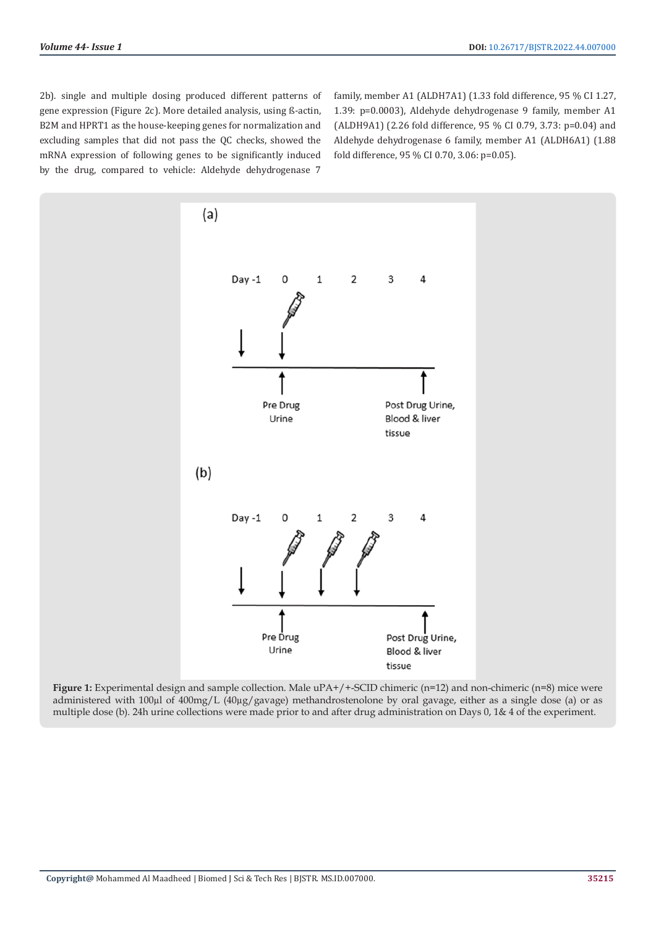2b). single and multiple dosing produced different patterns of gene expression (Figure 2c). More detailed analysis, using ß-actin, B2M and HPRT1 as the house-keeping genes for normalization and excluding samples that did not pass the QC checks, showed the mRNA expression of following genes to be significantly induced by the drug, compared to vehicle: Aldehyde dehydrogenase 7

family, member A1 (ALDH7A1) (1.33 fold difference, 95 % CI 1.27, 1.39: p=0.0003), Aldehyde dehydrogenase 9 family, member A1 (ALDH9A1) (2.26 fold difference, 95 % CI 0.79, 3.73: p=0.04) and Aldehyde dehydrogenase 6 family, member A1 (ALDH6A1) (1.88 fold difference, 95 % CI 0.70, 3.06: p=0.05).



**Figure 1:** Experimental design and sample collection. Male  $uPA+/+SCID$  chimeric (n=12) and non-chimeric (n=8) mice were administered with 100µl of 400mg/L (40µg/gavage) methandrostenolone by oral gavage, either as a single dose (a) or as multiple dose (b). 24h urine collections were made prior to and after drug administration on Days 0, 1& 4 of the experiment.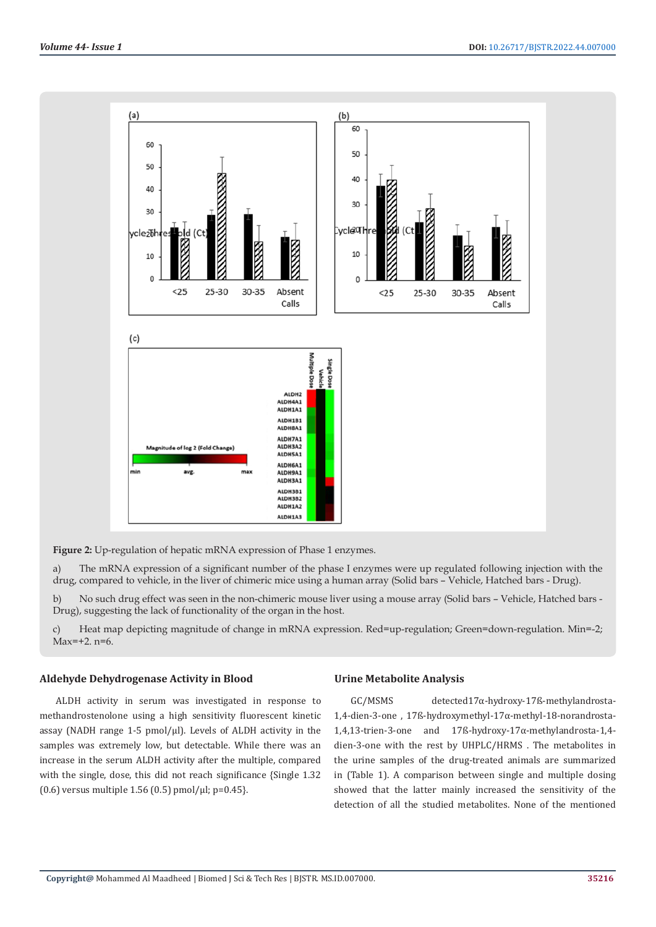

**Figure 2:** Up-regulation of hepatic mRNA expression of Phase 1 enzymes.

a) The mRNA expression of a significant number of the phase I enzymes were up regulated following injection with the drug, compared to vehicle, in the liver of chimeric mice using a human array (Solid bars – Vehicle, Hatched bars - Drug).

b) No such drug effect was seen in the non-chimeric mouse liver using a mouse array (Solid bars – Vehicle, Hatched bars - Drug), suggesting the lack of functionality of the organ in the host.

c) Heat map depicting magnitude of change in mRNA expression. Red=up-regulation; Green=down-regulation. Min=-2; Max=+2. n=6.

#### **Aldehyde Dehydrogenase Activity in Blood**

ALDH activity in serum was investigated in response to methandrostenolone using a high sensitivity fluorescent kinetic assay (NADH range 1-5  $pmol/µ$ ). Levels of ALDH activity in the samples was extremely low, but detectable. While there was an increase in the serum ALDH activity after the multiple, compared with the single, dose, this did not reach significance {Single 1.32  $(0.6)$  versus multiple 1.56  $(0.5)$  pmol/ $\mu$ l; p=0.45 $\}$ .

#### **Urine Metabolite Analysis**

GC/MSMS detected17α-hydroxy-17ß-methylandrosta-1,4-dien-3-one , 17ß-hydroxymethyl-17α-methyl-18-norandrosta-1,4,13-trien-3-one and 17ß-hydroxy-17α-methylandrosta-1,4 dien-3-one with the rest by UHPLC/HRMS . The metabolites in the urine samples of the drug-treated animals are summarized in (Table 1). A comparison between single and multiple dosing showed that the latter mainly increased the sensitivity of the detection of all the studied metabolites. None of the mentioned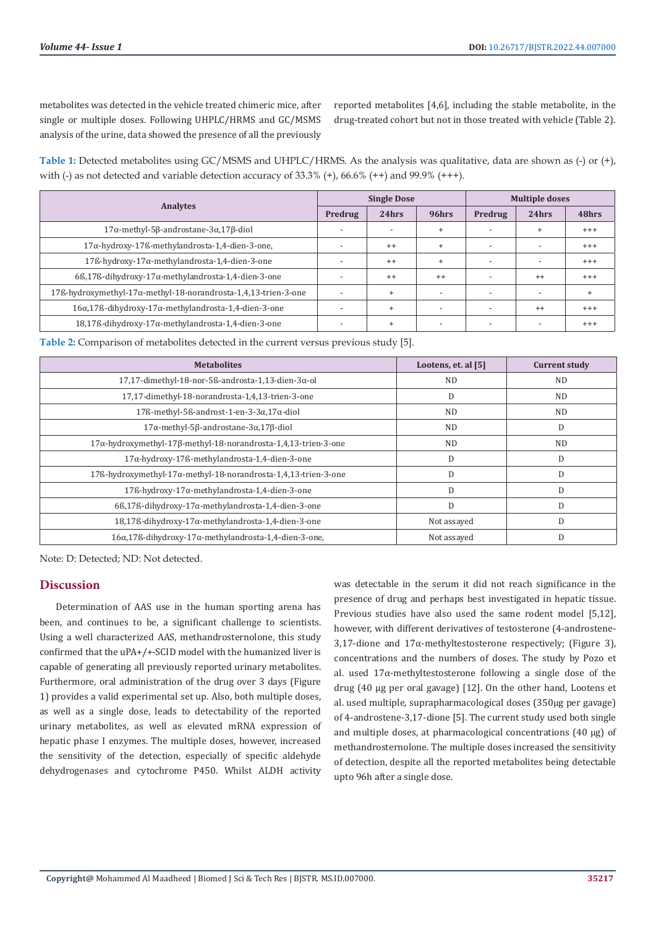metabolites was detected in the vehicle treated chimeric mice, after single or multiple doses. Following UHPLC/HRMS and GC/MSMS analysis of the urine, data showed the presence of all the previously

reported metabolites [4,6], including the stable metabolite, in the drug-treated cohort but not in those treated with vehicle (Table 2).

**Table 1:** Detected metabolites using GC/MSMS and UHPLC/HRMS. As the analysis was qualitative, data are shown as (-) or (+), with (-) as not detected and variable detection accuracy of  $33.3\%$  (+),  $66.6\%$  (++) and  $99.9\%$  (+++).

| <b>Analytes</b>                                                           | <b>Single Dose</b>       |           |                          | <b>Multiple doses</b>    |                          |           |
|---------------------------------------------------------------------------|--------------------------|-----------|--------------------------|--------------------------|--------------------------|-----------|
|                                                                           | Predrug                  | 24hrs     | 96hrs                    | Predrug                  | 24hrs                    | 48hrs     |
| $17\alpha$ -methyl-5 $\beta$ -androstane-3 $\alpha$ ,17 $\beta$ -diol     | $\overline{\phantom{0}}$ |           | $\ddot{}$                |                          | $\ddot{}$                | $^{+++}$  |
| 17α-hydroxy-17ß-methylandrosta-1,4-dien-3-one,                            |                          | $++$      | $\ddot{}$                | $\overline{\phantom{a}}$ |                          | $^{+++}$  |
| 17ß-hydroxy-17α-methylandrosta-1,4-dien-3-one                             |                          | $++$      | $\ddot{}$                | $\overline{\phantom{0}}$ |                          | $^{+++}$  |
| $66,176$ -dihydroxy-17 $\alpha$ -methylandrosta-1,4-dien-3-one            |                          | $++$      | $^{++}$                  |                          | $^{++}$                  | $^{+++}$  |
| 17ß-hydroxymethyl-17α-methyl-18-norandrosta-1,4,13-trien-3-one            |                          | $\ddot{}$ | $\overline{\phantom{a}}$ | $\overline{\phantom{0}}$ | $\overline{\phantom{0}}$ | $\ddot{}$ |
| $16\alpha, 17\beta$ -dihydroxy-17 $\alpha$ -methylandrosta-1,4-dien-3-one |                          | $\ddot{}$ | $\overline{\phantom{0}}$ |                          | $++$                     | $^{+++}$  |
| 18,17ß-dihydroxy-17α-methylandrosta-1,4-dien-3-one                        |                          | $\ddot{}$ |                          |                          |                          | $^{+++}$  |

**Table 2:** Comparison of metabolites detected in the current versus previous study [5].

| <b>Metabolites</b>                                                    | Lootens, et. al [5] | <b>Current study</b> |  |
|-----------------------------------------------------------------------|---------------------|----------------------|--|
| $17,17$ -dimethyl-18-nor-5ß-androsta-1,13-dien-3 $\alpha$ -ol         | <b>ND</b>           | <b>ND</b>            |  |
| 17,17-dimethyl-18-norandrosta-1,4,13-trien-3-one                      | D                   | ND.                  |  |
| $17\text{K-methyl-5K-androst-1-en-3-3}\alpha, 17\alpha\text{-diol}$   | ND.                 | ND.                  |  |
| $17\alpha$ -methyl-5 $\beta$ -androstane-3 $\alpha$ ,17 $\beta$ -diol | <b>ND</b>           | D                    |  |
| 17α-hydroxymethyl-17β-methyl-18-norandrosta-1,4,13-trien-3-one        | <b>ND</b>           | <b>ND</b>            |  |
| 17α-hydroxy-17ß-methylandrosta-1,4-dien-3-one                         | D                   | D                    |  |
| 17ß-hydroxymethyl-17α-methyl-18-norandrosta-1,4,13-trien-3-one        | D                   | D                    |  |
| 17ß-hydroxy-17α-methylandrosta-1,4-dien-3-one                         | D                   | D                    |  |
| $66,176$ -dihydroxy-17 $\alpha$ -methylandrosta-1,4-dien-3-one        | D                   | D                    |  |
| 18,17ß-dihydroxy-17α-methylandrosta-1,4-dien-3-one                    | Not assayed         | D                    |  |
| 16α,17ß-dihydroxy-17α-methylandrosta-1,4-dien-3-one,                  | Not assayed         | D                    |  |

Note: D: Detected; ND: Not detected.

# **Discussion**

Determination of AAS use in the human sporting arena has been, and continues to be, a significant challenge to scientists. Using a well characterized AAS, methandrosternolone, this study confirmed that the uPA+/+-SCID model with the humanized liver is capable of generating all previously reported urinary metabolites. Furthermore, oral administration of the drug over 3 days (Figure 1) provides a valid experimental set up. Also, both multiple doses, as well as a single dose, leads to detectability of the reported urinary metabolites, as well as elevated mRNA expression of hepatic phase I enzymes. The multiple doses, however, increased the sensitivity of the detection, especially of specific aldehyde dehydrogenases and cytochrome P450. Whilst ALDH activity

was detectable in the serum it did not reach significance in the presence of drug and perhaps best investigated in hepatic tissue. Previous studies have also used the same rodent model [5,12], however, with different derivatives of testosterone (4-androstene-3,17-dione and  $17\alpha$ -methyltestosterone respectively; (Figure 3), concentrations and the numbers of doses. The study by Pozo et al. used 17α-methyltestosterone following a single dose of the drug (40 µg per oral gavage) [12]. On the other hand, Lootens et al. used multiple, suprapharmacological doses (350µg per gavage) of 4-androstene-3,17-dione [5]. The current study used both single and multiple doses, at pharmacological concentrations (40 µg) of methandrosternolone. The multiple doses increased the sensitivity of detection, despite all the reported metabolites being detectable upto 96h after a single dose.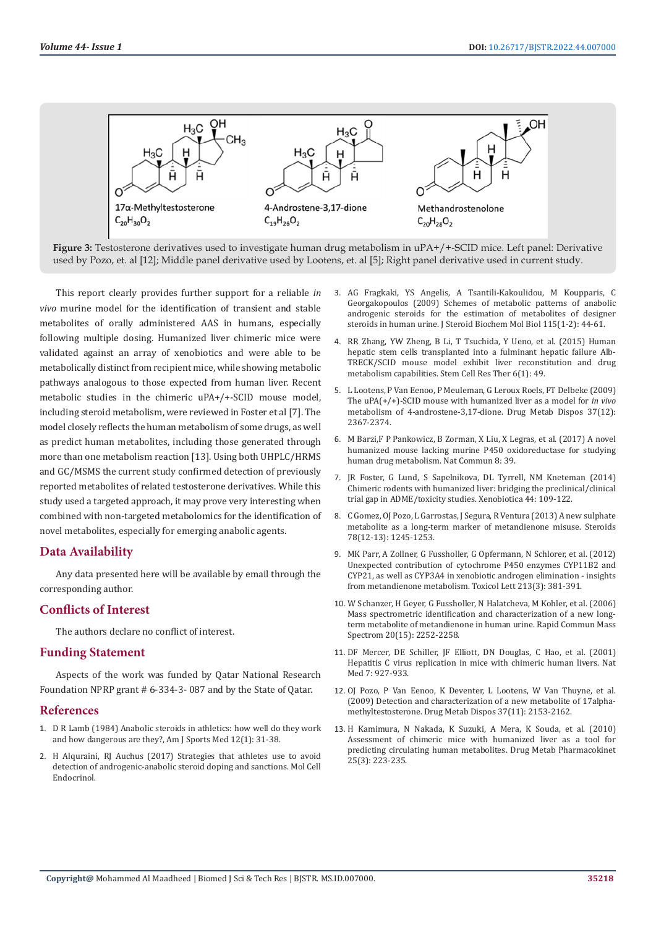![](_page_6_Figure_2.jpeg)

**Figure 3:** Testosterone derivatives used to investigate human drug metabolism in uPA+/+-SCID mice. Left panel: Derivative used by Pozo, et. al [12]; Middle panel derivative used by Lootens, et. al [5]; Right panel derivative used in current study.

This report clearly provides further support for a reliable *in vivo* murine model for the identification of transient and stable metabolites of orally administered AAS in humans, especially following multiple dosing. Humanized liver chimeric mice were validated against an array of xenobiotics and were able to be metabolically distinct from recipient mice, while showing metabolic pathways analogous to those expected from human liver. Recent metabolic studies in the chimeric uPA+/+-SCID mouse model, including steroid metabolism, were reviewed in Foster et al [7]. The model closely reflects the human metabolism of some drugs, as well as predict human metabolites, including those generated through more than one metabolism reaction [13]. Using both UHPLC/HRMS and GC/MSMS the current study confirmed detection of previously reported metabolites of related testosterone derivatives. While this study used a targeted approach, it may prove very interesting when combined with non-targeted metabolomics for the identification of novel metabolites, especially for emerging anabolic agents.

#### **Data Availability**

Any data presented here will be available by email through the corresponding author.

# **Conflicts of Interest**

The authors declare no conflict of interest.

#### **Funding Statement**

Aspects of the work was funded by Qatar National Research Foundation NPRP grant # 6-334-3- 087 and by the State of Qatar.

#### **References**

- 1. [D R Lamb \(1984\) Anabolic steroids in athletics: how well do they work](https://pubmed.ncbi.nlm.nih.gov/6367501/)  [and how dangerous are they?, Am J Sports Med 12\(1\): 31-38.](https://pubmed.ncbi.nlm.nih.gov/6367501/)
- 2. H Alquraini, RJ Auchus (2017) Strategies that athletes use to avoid [detection of androgenic-anabolic steroid doping and sanctions. Mol Cell](https://pubmed.ncbi.nlm.nih.gov/28130115/)  [Endocrinol.](https://pubmed.ncbi.nlm.nih.gov/28130115/)
- 3. [AG Fragkaki, YS Angelis, A Tsantili-Kakoulidou, M Koupparis, C](https://pubmed.ncbi.nlm.nih.gov/19429460/) [Georgakopoulos \(2009\) Schemes of metabolic patterns of anabolic](https://pubmed.ncbi.nlm.nih.gov/19429460/) [androgenic steroids for the estimation of metabolites of designer](https://pubmed.ncbi.nlm.nih.gov/19429460/) [steroids in human urine. J Steroid Biochem Mol Biol 115\(1-2\): 44-61.](https://pubmed.ncbi.nlm.nih.gov/19429460/)
- 4. [RR Zhang, YW Zheng, B Li, T Tsuchida, Y Ueno, et al. \(2015\) Human](https://pubmed.ncbi.nlm.nih.gov/25889844/) [hepatic stem cells transplanted into a fulminant hepatic failure Alb-](https://pubmed.ncbi.nlm.nih.gov/25889844/)[TRECK/SCID mouse model exhibit liver reconstitution and drug](https://pubmed.ncbi.nlm.nih.gov/25889844/) [metabolism capabilities. Stem Cell Res Ther 6\(1\): 49.](https://pubmed.ncbi.nlm.nih.gov/25889844/)
- 5. [L Lootens, P Van Eenoo, P Meuleman, G Leroux Roels, FT Delbeke \(2009\)](https://pubmed.ncbi.nlm.nih.gov/19741039/) [The uPA\(+/+\)-SCID mouse with humanized liver as a model for](https://pubmed.ncbi.nlm.nih.gov/19741039/) *in vivo* [metabolism of 4-androstene-3,17-dione. Drug Metab Dispos 37\(12\):](https://pubmed.ncbi.nlm.nih.gov/19741039/) [2367-2374.](https://pubmed.ncbi.nlm.nih.gov/19741039/)
- 6. [M Barzi,F P Pankowicz, B Zorman, X Liu, X Legras, et al. \(2017\) A novel](https://www.nature.com/articles/s41467-017-00049-x) [humanized mouse lacking murine P450 oxidoreductase for studying](https://www.nature.com/articles/s41467-017-00049-x) [human drug metabolism. Nat Commun 8: 39.](https://www.nature.com/articles/s41467-017-00049-x)
- 7. [JR Foster, G Lund, S Sapelnikova, DL Tyrrell, NM Kneteman \(2014\)](https://pubmed.ncbi.nlm.nih.gov/24320885/) [Chimeric rodents with humanized liver: bridging the preclinical/clinical](https://pubmed.ncbi.nlm.nih.gov/24320885/) [trial gap in ADME/toxicity studies. Xenobiotica 44: 109-122.](https://pubmed.ncbi.nlm.nih.gov/24320885/)
- 8. [C Gomez, OJ Pozo, L Garrostas, J Segura, R Ventura \(2013\) A new sulphate](https://pubmed.ncbi.nlm.nih.gov/24055830/) [metabolite as a long-term marker of metandienone misuse. Steroids](https://pubmed.ncbi.nlm.nih.gov/24055830/) [78\(12-13\): 1245-1253.](https://pubmed.ncbi.nlm.nih.gov/24055830/)
- 9. [MK Parr, A Zollner, G Fussholler, G Opfermann, N Schlorer, et al. \(2012\)](https://europepmc.org/article/med/22885098) [Unexpected contribution of cytochrome P450 enzymes CYP11B2 and](https://europepmc.org/article/med/22885098) [CYP21, as well as CYP3A4 in xenobiotic androgen elimination - insights](https://europepmc.org/article/med/22885098) [from metandienone metabolism. Toxicol Lett 213\(3\): 381-391.](https://europepmc.org/article/med/22885098)
- 10. [W Schanzer, H Geyer, G Fussholler, N Halatcheva, M Kohler, et al. \(2006\)](https://pubmed.ncbi.nlm.nih.gov/16804957/) [Mass spectrometric identification and characterization of a new long](https://pubmed.ncbi.nlm.nih.gov/16804957/)[term metabolite of metandienone in human urine. Rapid Commun Mass](https://pubmed.ncbi.nlm.nih.gov/16804957/) [Spectrom 20\(15\): 2252-2258.](https://pubmed.ncbi.nlm.nih.gov/16804957/)
- 11. [DF Mercer, DE Schiller, JF Elliott, DN Douglas, C Hao, et al. \(2001\)](https://www.nature.com/articles/nm0801_927) [Hepatitis C virus replication in mice with chimeric human livers. Nat](https://www.nature.com/articles/nm0801_927) [Med 7: 927-933.](https://www.nature.com/articles/nm0801_927)
- 12. [OJ Pozo, P Van Eenoo, K Deventer, L Lootens, W Van Thuyne, et al.](https://pubmed.ncbi.nlm.nih.gov/19704028/) [\(2009\) Detection and characterization of a new metabolite of 17alpha](https://pubmed.ncbi.nlm.nih.gov/19704028/)[methyltestosterone. Drug Metab Dispos 37\(11\): 2153-2162.](https://pubmed.ncbi.nlm.nih.gov/19704028/)
- 13. [H Kamimura, N Nakada, K Suzuki, A Mera, K Souda, et al. \(2010\)](https://www.sciencedirect.com/science/article/abs/pii/S1347436715300264) [Assessment of chimeric mice with humanized liver as a tool for](https://www.sciencedirect.com/science/article/abs/pii/S1347436715300264) [predicting circulating human metabolites. Drug Metab Pharmacokinet](https://www.sciencedirect.com/science/article/abs/pii/S1347436715300264) [25\(3\): 223-235.](https://www.sciencedirect.com/science/article/abs/pii/S1347436715300264)